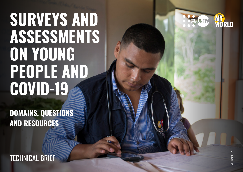# **SURVEYS AND ASSESSMENTS ON YOUNG PEOPLE AND COVID-19**

**SURVEYS AND ASSESSMENTS ON YOUNG PEOPLE AND COVID-19 JUNE 2020**

**DOMAINS, QUESTIONS AND RESOURCES**



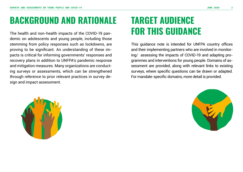## **BACKGROUND AND RATIONALE**

The health and non-health impacts of the COVID-19 pandemic on adolescents and young people, including those stemming from policy responses such as lockdowns, are proving to be significant. An understanding of these impacts is critical for informing governments' responses and recovery plans in addition to UNFPA's pandemic response and mitigation measures. Many organizations are conducting surveys or assessments, which can be strengthened through reference to prior relevant practices in survey design and impact assessment.

## **TARGET AUDIENCE FOR THIS GUIDANCE**

This guidance note is intended for UNFPA country offices and their implementing partners who are involved in monitoring/ assessing the impacts of COVID-19 and adapting programmes and interventions for young people. Domains of assessment are provided, along with relevant links to existing surveys, where specific questions can be drawn or adapted. For mandate-specific domains, more detail is provided.



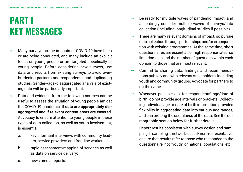## **PART I KEY MESSAGES**

- $\rightarrow$  Many surveys on the impacts of COVID-19 have been or are being conducted, and many include an explicit focus on young people or are targeted specifically at young people. Before considering new surveys, use data and results from existing surveys to avoid overburdening partners and respondents, and duplicating studies. Gender-/age-disaggregated analysis of existing data will be particularly important.
- $\rightarrow$  Data and evidence from the following sources can be useful to assess the situation of young people amidst the COVID-19 pandemic, **if data are appropriately disaggregated and if relevant content areas are covered**. Advocacy to ensure attention to young people in these types of data collection, as well as youth involvement, is essential:
	- a. key informant interviews with community leaders, service providers and frontline workers;
	- b. rapid assessment/mapping of services as well as data on service delivery;
- $\rightarrow$  Be ready for multiple waves of pandemic impact, and accordingly consider multiple waves of surveys/data collection (including longitudinal studies if possible).
- $\rightarrow$  There are many relevant domains of impact, so pursue data collection through partnerships and/or in conjunction with existing programmes. At the same time, short questionnaires are essential for high response rates, so limit domains and the number of questions within each domain to those that are most relevant.
- $\rightarrow$  Commit to sharing data, findings and recommendations publicly and with relevant stakeholders, including youth and community groups. Advocate for partners to do the same.
- $\rightarrow$  Whenever possible ask for respondents' age/date of birth; do not provide age intervals or brackets. Collecting individual age or date of birth information provides flexibility in aggregating data into various age ranges, and can prolong the usefulness of the data. See the demographic section below for further details.
- $\rightarrow$  Report results consistent with survey design and sampling. If sampling is network-based/ non-representative, ensure that results refer to those who responded to the questionnaire, not "youth" or national populations, etc.

c. news media reports.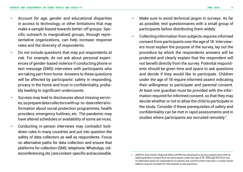- $\rightarrow$  Account for age, gender and educational disparities in access to technology, or other limitations that may make a sample biased towards better-off groups. Specific outreach to marginalized groups, through representative organizations, can help increase response rates and the diversity of respondents.
- $\rightarrow$  Do not include questions that may put respondents at risk. For example, do not ask about personal experiences of gender-based violence if conducting phone or text message (SMS) interviews with participants who are taking part from home. Answers to these questions will be affected by participants' safety in responding, privacy in the home and trust in confidentiality, probably leading to significant undercounts.
- $\rightarrow$  Surveys may lead to disclosures about missing services, so prepare data collectors with up-to-date referral information about social protection programmes, health providers, emergency hotlines, etc. The pandemic may have altered schedules or availability of some services.
- $\rightarrow$  Conducting in-person interviews may contradict lockdown rules in many countries and put into question the safety of data collectors as well as respondents. Focus on alternative paths for data collection and ensure that platforms for collection (SMS, telephone, WhatsApp, videoconferencing, etc.) are context-specific and accessible.
- $\rightarrow$  Make sure to avoid technical jargon in surveys. As far as possible, test questionnaires with a small group of participants before distributing them widely.
- $\rightarrow$  Collecting information from subjects requires informed consent from participants over the age of 18. Interviewers must explain the purpose of the survey, lay out the procedure by which the respondents answers will be protected and clearly explain that the respondent will not benefit directly from the survey. Potential respondents should be given time and space to ask questions and decide if they would like to participate. Children under the age of 18 require informed assent indicating their willingness to participate and parental consent. At least one guardian must be provided with the information required for informed consent, so that they may decide whether or not to allow the child to participate in the study. Consider if these prerequisites of safety and confidentiality can be met in rapid assessments and in studies where participants are recruited remotely.**<sup>1</sup>**

<sup>1</sup> UNFPA's Asia Pacific Regional Office (APRO) has developed a [survey consent form](https://docs.google.com/document/d/1lBe2fTJTAcwEUvVnNhigzc_Ou4FGGrjUlz9yoKHKyI0/edit?usp=sharing) with an added guardian consent form for participants under the age of 18. Although this form has no dedicated space for respondents to express any concerns they may have, a contact email address may be included for interviewees to ask questions.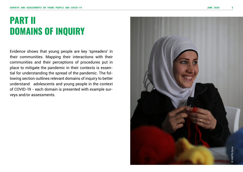## **PART II DOMAINS OF INQUIRY**

Evidence shows that young people are key 'spreaders' in their communities. Mapping their interactions with their communities and their perceptions of procedures put in place to mitigate the pandemic in their contexts is essential for understanding the spread of the pandemic. The following section outlines relevant domains of inquiry to better understand adolescents and young people in the context of COVID-19 - each domain is presented with example surveys and/or assessments.

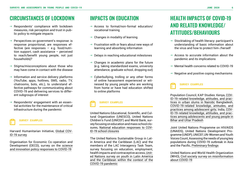### CIRCUMSTANCES OF LOCKDOWN

- $\rightarrow$  Respondents' compliance with lockdown measures, risk perception and trust in public policy to mitigate impacts
- $\rightarrow$  Perspectives on government's response: is response proportional, are responses effective (are responses – e.g. food/nutrition support, cash assistance – perceived to reach/benefit young people, not just households)?
- $\rightarrow$  Stigma/misconceptions about those who may have come in contact with the disease
- $\rightarrow$  Information and service delivery platforms (YouTube, apps, hotlines, SMS, radio, TV, chatrooms, bots, etc.), to understand effective pathways for communicating about COVID-19 and delivering services to different subgroups of interest
- $\rightarrow$  Respondents' engagement with an essential activities for the maintenance of critical infrastructure during the pandemic



Harvard Humanitarian Initiative, [Global COV](https://covid-19data.org)-[ID-19 survey](https://covid-19data.org)

Organisation for Economic Co-operation and Development (OECD), survey on the [science](https://stip.oecd.org/Covid.html)  [and innovation policy responses to COVID-19](https://stip.oecd.org/Covid.html)

- $\rightarrow$  Access to formal/non-formal education/ vocational training
- $\rightarrow$  Changes in modality of learning
- $\rightarrow$  Frustration with or fears about new ways of learning and absorbing information
- $\rightarrow$  Delays in reaching educational milestones
- $\rightarrow$  Changes in academic plans for the future (e.g. taking standardized exams, university attendance, graduate school, dropping out)
- $\rightarrow$  Cyberbullying, trolling or any other forms of online harassment experienced or witnessed by young people who are working from home or have had education shifted to online platforms

#### **SURVEY EXAMPLES**

United Nations Educational, Scientific, and Cultural Organization (UNESCO), United Nations Children's Fund (UNICEF) and World Bank, survey focusing on education and mass school closures, [National education responses to COV-](http://uis.unesco.org/en/news/survey-national-education-responses-covid-19-school-closures-due-7-may-2020)[ID-19 school closures](http://uis.unesco.org/en/news/survey-national-education-responses-covid-19-school-closures-due-7-may-2020)

The United Nations Sustainable Group in Latin America and the Caribbean (LAC) and the members of the LAC Interagency Task Team, survey focusing on education, employment, health impacts and contraceptive access, [Unit](https://docs.google.com/forms/d/e/1FAIpQLScN19GZk2-H5kxSUNDETETxR7abgTD91xXDvBUOgD-jCNLU5g/formResponse)[ed Nations survey on youth in Latin America](https://docs.google.com/forms/d/e/1FAIpQLScN19GZk2-H5kxSUNDETETxR7abgTD91xXDvBUOgD-jCNLU5g/formResponse)  [and the Caribbean within the context of the](https://docs.google.com/forms/d/e/1FAIpQLScN19GZk2-H5kxSUNDETETxR7abgTD91xXDvBUOgD-jCNLU5g/formResponse)  [COVID-19 pandemic](https://docs.google.com/forms/d/e/1FAIpQLScN19GZk2-H5kxSUNDETETxR7abgTD91xXDvBUOgD-jCNLU5g/formResponse)

## IMPACTS ON EDUCATION HEALTH IMPACTS OF COVID-19 AND RELATED KNOWLEDGE/ ATTITUDES/BEHAVIOURS

- $\rightarrow$  Stocktaking of health literacy: participant's understanding of basic information about the virus and how to protect him-/herself
- $\rightarrow$  Access to accurate information about the pandemic and its implications
- $\rightarrow$  Mental health concerns related to COVID-19
- $\rightarrow$  Negative and positive coping mechanisms

#### **SURVEY EXAMPLES**

Population Council, KAP Studies: Kenya, [COV-](https://dataverse.harvard.edu/dataset.xhtml?persistentId=doi:10.7910/DVN/VO7SUO)[ID-19-related knowledge, attitudes, and prac](https://dataverse.harvard.edu/dataset.xhtml?persistentId=doi:10.7910/DVN/VO7SUO)[tices in urban slums in Nairobi](https://dataverse.harvard.edu/dataset.xhtml?persistentId=doi:10.7910/DVN/VO7SUO); Bangladesh, [COVID-19-related knowledge, attitudes, and](https://dataverse.harvard.edu/dataset.xhtml?persistentId=doi:10.7910/DVN/UBZXWD)  [practices among adolescent girls;](https://dataverse.harvard.edu/dataset.xhtml?persistentId=doi:10.7910/DVN/UBZXWD) India, [COV-](https://dataverse.harvard.edu/dataset.xhtml?persistentId=doi:10.7910/DVN/8ZVOKW&version=5.0)[ID-19-related knowledge, attitudes, and prac](https://dataverse.harvard.edu/dataset.xhtml?persistentId=doi:10.7910/DVN/8ZVOKW&version=5.0)[tices among adolescents and young people in](https://dataverse.harvard.edu/dataset.xhtml?persistentId=doi:10.7910/DVN/8ZVOKW&version=5.0)  [Bihar and Uttar Pradesh](https://dataverse.harvard.edu/dataset.xhtml?persistentId=doi:10.7910/DVN/8ZVOKW&version=5.0)

Joint United Nations Programme on HIV/AIDS (UNAIDS), United Nations Development Programme (UNDP), UNICEF, UN-Women and Youth Voices Count, Assessing the needs of young key populations during COVID-19 outbreak in Asia and the Pacific, [Preliminary findings](https://unaids-ap.org/2020/04/30/assessing-the-needs-of-young-key-populations-during-covid-19-outbreak-in-asia-and-the-pacific/)

United Nations and World Health Organization (WHO), [Civil society survey on misinformation](https://www.un.org/en/civil-society/civil-society-survey-covid-19)  [about COVID-19](https://www.un.org/en/civil-society/civil-society-survey-covid-19)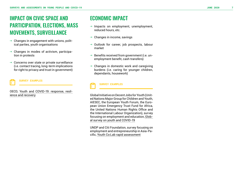## IMPACT ON CIVIC SPACE AND PARTICIPATION, ELECTIONS, MASS MOVEMENTS, SURVEILLANCE

- $\rightarrow \;$  Changes in engagement with unions, political parties, youth organisations
- $\rightarrow$  Changes in modes of activism, participation in protests
- $\rightarrow$  Concerns over state or private surveillance (i.e. contact tracing, long-term implications for right to privacy and trust in government)

**SURVEY EXAMPLES** 

OECD, [Youth and COVID-19: response, resil](https://www.oecd.org/gov/what-steps-are-youth-organisations-taking-to-mitigate-the-covid-19-crisis.htm) [ience and recovery](https://www.oecd.org/gov/what-steps-are-youth-organisations-taking-to-mitigate-the-covid-19-crisis.htm)

### ECONOMIC IMPACT

- $\rightarrow$  Impacts on employment, unemployment, reduced hours, etc.
- $\rightarrow$  Changes in income, savings
- $\rightarrow$  Outlook for career, job prospects, labour market
- $\rightarrow$  Benefits received from government (i.e. unemployment benefit, cash transfers)
- $\rightarrow$  Changes in domestic work and caregiving burdens (i.e. caring for younger children, dependants, housework)

#### **SURVEY EXAMPLES**

Global Initiative on Decent Jobs for Youth (Unit ed Nations Major Group for Children and Youth, AIESEC, the European Youth Forum, the Euro pean Union Emergency Trust Fund for Africa, the United Nations Human Rights Office and the International Labour Organization), survey focusing on employment and education, [Glob](https://www.surveymonkey.com/r/NPC38JS) [al survey on youth and COVID-19](https://www.surveymonkey.com/r/NPC38JS)

UNDP and Citi Foundation, survey focusing on employment and entrepreneurship in Asia-Pa cific, [Youth Co:Lab rapid assessment](https://www.youthcolab.org/young-entrepreneurs-explain-how-cov)

**7**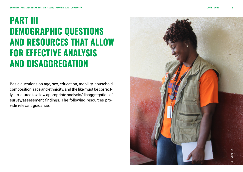## **PART III DEMOGRAPHIC QUESTIONS AND RESOURCES THAT ALLOW FOR EFFECTIVE ANALYSIS AND DISAGGREGATION**

Basic questions on age, sex, education, mobility, household composition, race and ethnicity, and the like must be correctly structured to allow appropriate analysis/disaggregation of survey/assessment findings. The following resources provide relevant guidance.

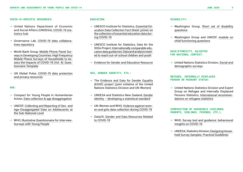#### **COVID-19-SPECIFIC RESOURCES:**

- $\rightarrow$  United Nations Department of Economic and Social Affairs (UNDESA), [COVID-19 sta](https://covid-19-response.unstatshub.org)[tistics hub](https://covid-19-response.unstatshub.org)
- → Governance Lab, [COVID-19 data collabora](https://docs.google.com/document/d/1JWeD1AaIGKMPry_EN8GjIqwX4J4KLQIAqP09exZ-ENI/edit)[tives repository](https://docs.google.com/document/d/1JWeD1AaIGKMPry_EN8GjIqwX4J4KLQIAqP09exZ-ENI/edit)
- → World Bank Group, [Mobile Phone Panel Sur](https://openknowledge.worldbank.org/bitstream/handle/10986/24595/9781464809040.pdf)[veys in Developing Countries;](https://openknowledge.worldbank.org/bitstream/handle/10986/24595/9781464809040.pdf) [High Frequency](http://documents.worldbank.org/curated/en/567571588697439581/Questionnaire-Template)  [Mobile Phone Surveys of Households to As](http://documents.worldbank.org/curated/en/567571588697439581/Questionnaire-Template)[sess the Impacts of COVID-19 \(Vol. 4\): Ques](http://documents.worldbank.org/curated/en/567571588697439581/Questionnaire-Template)[tionnaire Template](http://documents.worldbank.org/curated/en/567571588697439581/Questionnaire-Template)
- → UN Global Pulse, [COVID-19 data protection](https://www.unglobalpulse.org/policy/covid-19-data-protection-and-privacy-resources/)  [and privacy resources](https://www.unglobalpulse.org/policy/covid-19-data-protection-and-privacy-resources/)

#### **AGE:**

- $\rightarrow$  Compact for Young People in Humanitarian Action, [Data collection & age disaggregation](https://static1.squarespace.com/static/5b2d24e39d5abbe187e75234/t/5dfa5c8dcda8467a3e88e89c/1576688782434/TF5.pdf)
- $\rightarrow$  UNICEF, Collecting and Reporting of Sex- and [Age-Disaggregated Data on Adolescents at](https://data.unicef.org/resources/collecting-reporting-sex-age-disaggregated-data-adolescents-sub-national-level/)  [the Sub-National Level](https://data.unicef.org/resources/collecting-reporting-sex-age-disaggregated-data-adolescents-sub-national-level/)
- → WHO, [Illustrative Questionnaire for Interview-](https://www.who.int/reproductivehealth/topics/adolescence/questionnaire.pdf)[Surveys with Young People](https://www.who.int/reproductivehealth/topics/adolescence/questionnaire.pdf)

#### **EDUCATION:**

- → UNESCO Institute for Statistics, [Essential Ed](http://uis.unesco.org/sites/default/files/documents/fs58-need-for-essential-education-data_0.pdf)[ucation Data Collection Fact Sheet: primer on](http://uis.unesco.org/sites/default/files/documents/fs58-need-for-essential-education-data_0.pdf)  [the collection of essential education data dur](http://uis.unesco.org/sites/default/files/documents/fs58-need-for-essential-education-data_0.pdf)[ing COVID-19](http://uis.unesco.org/sites/default/files/documents/fs58-need-for-essential-education-data_0.pdf)
- → UNESCO Institute for Statistics, Data for the SDGs Project, [Internationally comparable edu](http://uis.unesco.org/?URL_ID=2867&URL_DO=DO_TOPIC&URL_SECTION=201)[cation data guidances,](http://uis.unesco.org/?URL_ID=2867&URL_DO=DO_TOPIC&URL_SECTION=201) [Data and analysis need](http://uis.unesco.org/en/topic/out-school-children-and-youth)[ed to reach out-of-school children and youth](http://uis.unesco.org/en/topic/out-school-children-and-youth)
- **[Evidence for Gender and Education Resource](https://www.egeresource.org/)**

#### **SEX, GENDER IDENTITY, ETC.:**

- $\rightarrow$  The [Evidence and Data for Gender Equality](https://unstats.un.org/edge/) (EDGE) project (joint initiative of the United Nations Statistics Division and UN-Women)
- $\rightarrow$  UNDESA and Statistics New Zealand, Gender [identity – developing a statistical standard](https://unstats.un.org/unsd/classifications/expertgroup/egm2015/ac289-Bk2.PDF)
- $\rightarrow$  UN-Women and WHO, [Violence against wom](https://www.unwomen.org/-/media/headquarters/attachments/sections/library/publications/2020/vawg-data-collection-during-covid-19-compressed.pdf?la=en&vs=2339)[en and girls data collection during COVID-19](https://www.unwomen.org/-/media/headquarters/attachments/sections/library/publications/2020/vawg-data-collection-during-covid-19-compressed.pdf?la=en&vs=2339)
- → Data2X, [Gender and Data Resources Related](https://data2x.org/resourcecenter/%20gender-and-data-resources-related-to-covid-19/)  [to COVID-19](https://data2x.org/resourcecenter/%20gender-and-data-resources-related-to-covid-19/)

#### **DISABILITY:**

- $\rightarrow$  Washington Group, Short set of disability [questions](http://www.washingtongroup-disability.com/washington-group-question-sets/short-set-of-disability-questions/)
- → Washington Group and UNICEF, [module on](http://www.washingtongroup-disability.com/washington-group-question-sets/child-disability/)  [child functioning questions](http://www.washingtongroup-disability.com/washington-group-question-sets/child-disability/)

#### **RACE/ETHNICITY, ADJUSTED FOR NATIONAL CONTEXT:**

 $\rightarrow$  United Nations Statistics Division, Social and [demographic surveys](https://unstats.un.org/unsd/demographic/sources/surveys/default.htm)

#### **REFUGEE, INTERNALLY DISPLACED PERSON OR MIGRANT STATUS:**

 $\rightarrow$  United Nations Statistics Division and Expert Group on Refugee and Internally Displaced Persons Statistics, [International recommen](https://unstats.un.org/unsd/statcom/49th-session/documents/BG-Item3m-RefugeeStat-E.pdf)[dations on refugees statistics](https://unstats.un.org/unsd/statcom/49th-session/documents/BG-Item3m-RefugeeStat-E.pdf)

#### **COMPOSITION OF HOUSEHOLD (CHILDREN, PARENTS, SIBLINGS, FRIENDS, ETC.):**

- → WHO, [Survey tool and guidance: behavioural](http://www.euro.who.int/en/health-topics/health-emergencies/coronavirus-covid-19/technical-guidance/who-tool-for-behavioural-insights-on-covid-19/survey-tool-and-guidance-behavioural-insights-on-covid-19,-17-april-2020)  [insights on COVID-19](http://www.euro.who.int/en/health-topics/health-emergencies/coronavirus-covid-19/technical-guidance/who-tool-for-behavioural-insights-on-covid-19/survey-tool-and-guidance-behavioural-insights-on-covid-19,-17-april-2020)
- → UNDESA, Statistics Division, [Designing House](https://unstats.un.org/unsd/demographic-social/Standards-and-Methods/files/Handbooks/surveys/Series_F98-E.pdf)[hold Survey Samples: Practical Guidelines](https://unstats.un.org/unsd/demographic-social/Standards-and-Methods/files/Handbooks/surveys/Series_F98-E.pdf)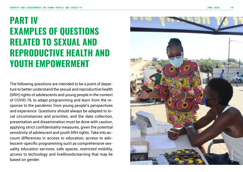## **PART IV EXAMPLES OF QUESTIONS RELATED TO SEXUAL AND REPRODUCTIVE HEALTH AND YOUTH EMPOWERMENT**

The following questions are intended to be a point of depar ture to better understand the sexual and reproductive health (SRH) rights of adolescents and young people in the context of COVID-19, to adapt programming and learn from the re sponse to the pandemic from young people's perspectives and experience. Questions should always be adapted to lo cal circumstances and priorities, and the data collection, presentation and dissemination must be done with caution, applying strict confidentiality measures, given the potential sensitivity of adolescent and youth SRH rights. Take into ac count differences in access to education, access to ado lescent-specific programming such as comprehensive sex uality education services, safe spaces, restricted mobility, access to technology and livelihoods/earning that may be based on gender.

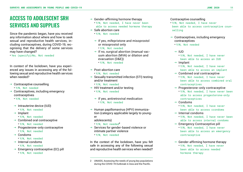## ACCESS TO ADOLESCENT SRH SERVICES AND SUPPLIES

Since the pandemic began, have you received any information about where and how to seek sexual and reproductive health services, including contraceptives, during COVID-19, recognising that the delivery of some services may have changed?

• Yes (specify)/No, Not needed

In context of the lockdown, have you experienced any issues in accessing any of the following sexual and reproductive health services when needed?

- $\rightarrow$  Contraceptive counselling
	- Y/N, Not needed
- $\rightarrow$  Contraceptives, including emergency contraceptives
	- Y/N, Not needed
	- $\rightarrow$  Intrauterine device (IUD)
		- Y/N, Not needed
	- $\rightarrow$  Implant
		- Y/N, Not needed
	- $\rightarrow$  Combined oral contraceptive • Y/N, Not needed
	- $\rightarrow$  Progesterone-only contraceptive • Y/N, Not needed
	- $\rightarrow$  Condoms
		- Y/N, Not needed
	- $\rightarrow$  Internal condoms
		- Y/N, Not needed
	- $\rightarrow$  Emergency contraceptive (EC) pill
		- Y/N, Not needed
- $\rightarrow$  Gender-affirming hormone therapy
	- Y/N, Not needed, I have never been able to access needed hormone therapy
- $\rightarrow$  Safe abortion care • Y/N, Not needed
	- $\rightarrow$  If yes, mifepristone and misoprostol or misoprostol only
		- Y/N, Not needed
	- $\rightarrow$  If no, surgical abortion (manual vacuum abortion (MVA) or dilation and evacuation (D&E))
		- Y/N, Not needed
- $\rightarrow$  Post-abortion care
	- Y/N, Not needed
- $\rightarrow$  Sexually transmitted infection (STI) testing and/or treatment
	- Y/N, Not needed
- $\rightarrow$  HIV treatment and/or testing • Y/N, Not needed
	- $\rightarrow$  If yes, antiretroviral medication • Y/N, Not needed
- $\rightarrow$  Human papillomavirus (HPV) immunization (category applicable largely to younger
	- adolescents)
	- Y/N, Not needed**<sup>2</sup>**
- $\rightarrow$  Services for gender-based violence or intimate partner violence
	- Y/N, Not needed

In the context of the lockdown, have you felt safe in accessing any of the following sexual and reproductive health services when needed?

#### Contraceptive counselling

- Y/N, Not needed, I have never been able to access contraceptive counselling
- $\rightarrow$  Contraceptives, including emergency contraceptives
	- Y/N, Not needed
	- $\rightarrow$  IUD
		- Y/N, Not needed, I have never been able to access an IUD
	- $\rightarrow$  Implant
		- Y/N, Not needed, I have never been able to access an implant
	- $\rightarrow$  Combined oral contraceptive
		- Y/N, Not needed, I have never been able to access combined oral contraceptives
	- $\rightarrow$  Progesterone-only contraceptive
		- Y/N, Not needed, I have never been able to access progesterone-only contraceptives
	- $\rightarrow$  Condoms
		- Y/N, Not needed, I have never been able to access ccondoms
	- $\rightarrow$  Internal condoms
		- Y/N, Not needed, I have never been able to access internal condoms
	- $\rightarrow$  Emergency Contraceptive pill
		- Y/N, Not needed, I have never been able to access an emergency contraceptive
	- $\rightarrow$  Gender-affirming hormone therapy • Y/N, Not needed, I have never been able to access needed hormone therapy

<sup>2</sup> UNAIDS, Assessing the needs of young key populations during the COVID-19 Outbreak in Asia and the Pacific.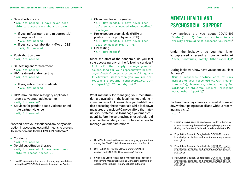$\rightarrow$  Safe abortion care

• Y/N, Not needed, I have never been able to access safe abortion care

 $\rightarrow$  If yes, mifepristone and misoprostol/ misoprostol only

• Y/N, Not needed

- $\rightarrow$  If yes, surgical abortion (MVA or D&E) • Y/N, Not needed
- $\rightarrow$  Post-abortion care
	- Y/N, Not needed
- $\rightarrow$  STI testing and/or treatment
	- Y/N, Not needed
- $\rightarrow$  HIV treatment and/or testing
	- Y/N, Not needed
	- $\rightarrow$  If yes, antiretroviral medication • Y/N, Not needed
- $\rightarrow$  HPV immunization (category applicable largely to younger adolescents)
	- Y/N, Not needed**<sup>3</sup>**
- $\rightarrow$  Services for gender-based violence or intimate partner violence
	- Y/N, Not needed

If needed, have you experienced any delay or disruption in accessing essential means to prevent HIV infection due to the COVID-19 outbreak?

- $\rightarrow$  Condoms
	- Y/N, Not needed
- $\rightarrow$  Opioid substitution therapy • Y/N, Not needed, I have never been
	- able to access needed OST
- 3 UNAIDS, Assessing the needs of young key populations during the COVID-19 Outbreak in Asia and the Pacific.
- $\rightarrow$  Clean needles and syringes
	- Y/N, Not needed, I have never been able to access needed clean needles/ syringes
- $\rightarrow$  Pre-exposure prophylaxis (PrEP) or post-exposure prophylaxis (PEP) • Y/N, Not needed, I have never been
	- able to access PrEP or PEP
- $\rightarrow$  HIV testing
	- Y/N, Not needed**<sup>4</sup>**

Since the start of the pandemic, do you feel safe accessing any of the following services?

• Tick all that apply: non-judgemental counselling for your reproductive health, psychological support or counselling, antiretroviral medication you may require, routine STI testing, contraceptives, other (specify)) If no, why not?**<sup>5</sup>**

What materials for managing your menstruation are available in the local market under circumstances of lockdown? Have you had difficulties accessing these materials while lockdown measures are in place? Can you afford the materials you prefer to use to manage your menstruation? Before the coronavirus shut schools, did you use the sanitary infrastructure at school to manage your menstruation?**<sup>6</sup>**

- 4 UNAIDS, Assessing the needs of young key populations during the COVID-19 Outbreak in Asia and the Pacific.
- 5 UNFPA ESARO, Restless Development, UNAIDS, AfriYAN and UNESCO, 'Have your say!' Survey.
- 6 Swiss Red Cross, Knowledge, Attitudes and Practices Concerning Menstrual Hygiene Management (MHM) of Adolescents in Rural Primary Schools in Malawi.

### MENTAL HEALTH AND PSYCHOSOCIAL SUPPORT

How anxious are you about COVID-19? • Scale (1 to 5) from not anxious to extremely anxious) What concerns you most?**<sup>7</sup>**

Under the lockdown, do you feel lonely, depressed, stressed, anxious or irritable? • Never, Sometimes, Mostly, Other (specify)**<sup>8</sup>**

#### During lockdown, how have you spent your last 24 hours?

• Sample responses include care of sick members of your household (COVID-19 symptoms only), housework, study, caring for siblings or children, leisure, religious work, other (specify)**<sup>9</sup>**

For how many days have you stayed at home all day, without going out at all and without receiving any visits?

 $\cdot$   $\binom{10}{ }$ 

- 7 UNAIDS, UNDP, UNICEF, UN-Women and Youth Voices Count, Assessing the needs of young key populations during the COVID-19 Outbreak in Asia and the Pacific.
- 8 Population Council, Bangladesh, [COVID-19-related](https://dataverse.harvard.edu/dataset.xhtml?persistentId=doi:10.7910/DVN/UBZXWD)  [knowledge, attitudes, and practices among adoles](https://dataverse.harvard.edu/dataset.xhtml?persistentId=doi:10.7910/DVN/UBZXWD)[cent girls](https://dataverse.harvard.edu/dataset.xhtml?persistentId=doi:10.7910/DVN/UBZXWD).
- 9 Population Council, Bangladesh, [COVID-19-related](https://dataverse.harvard.edu/dataset.xhtml?persistentId=doi:10.7910/DVN/UBZXWD)  [knowledge, attitudes, and practices among adoles](https://dataverse.harvard.edu/dataset.xhtml?persistentId=doi:10.7910/DVN/UBZXWD)[cent girls](https://dataverse.harvard.edu/dataset.xhtml?persistentId=doi:10.7910/DVN/UBZXWD).
- 10 Population Council, Bangladesh, [COVID-19-related](https://dataverse.harvard.edu/dataset.xhtml?persistentId=doi:10.7910/DVN/UBZXWD)  [knowledge, attitudes, and practices among adoles](https://dataverse.harvard.edu/dataset.xhtml?persistentId=doi:10.7910/DVN/UBZXWD)[cent girls](https://dataverse.harvard.edu/dataset.xhtml?persistentId=doi:10.7910/DVN/UBZXWD).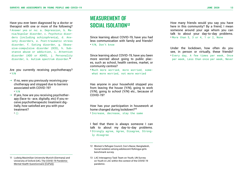Have you ever been diagnosed by a doctor or therapist with one or more of the following? • Answer yes or no: a. Depression, b. Mania/bipolar disorder, c. Psychotic disorders (including schizophrenia), d. Anxiety disorders, e. Post-traumatic stress disorder, f. Eating disorder, g. Obsessive-compulsive disorder (OCD), h. Substance abuse or addiction, i. Attention disorder (ADD or ADHD), j. Personality disorder, k. Autism spectrum disorder.**<sup>11</sup>**

Are you currently receiving psychotherapy? • Y/N

- $\rightarrow$  If no, were you previously receiving psychotherapy and stopped due to barriers associated with COVID-19? • Y/N
- $\rightarrow$  If yes, how are you receiving psychotherapy (face-to -ace, digitally, etc) If you receive psychotherapeutic treatment digitally, how satisfied are you with your treatment?

 $\cdot$  ()

### MEASUREMENT OF SOCIAL ISOLATION**<sup>12</sup>**

Since learning about COVID-19, have you had less communication with family and friends? • Y/N, Don't know

Since learning about COVID-19, have you been more worried about going to public places, such as school, health centres, market, or community centres?

• Much more worried, more worried, somewhat more worried, not more worried

Has anyone in your household stopped you from leaving the house (Y/N), going to work (Y/N), going to school (Y/N) etc., because of COVID-19?

How has your participation in housework at home changed during lockdown?**<sup>13</sup>** • Increase, decrease, stay the same

I feel that there is always someone I can talk to about my day-to-day problems. • Strongly agree, Agree, Disagree, Strongly disagree

How many friends would you say you have here in this community? By a friend, I mean someone around your age whom you can talk to about your day-to-day problems. • More than 5, 3 or 4, 1 or 2, None

Under the lockdown, how often do you see, in person or virtually, these friends? • Every day, A few times per week, Once per week, Less than once per week, Never

<sup>11</sup> Ludwig Maximilian University Munich (Germany) and University of Oxford (UK), [The COVID-19 Pandemic](https://osf.io/3evn9/)  [Mental Health Questionnaire \(CoPaQ\).](https://osf.io/3evn9/)

<sup>12</sup> Women's Refugee Council, Cox's Bazar, Bangladesh, Social isolation among adolescent Rohingya girls benchmark survey.

<sup>13</sup> LAC Interagency Task Team on Youth, UN Survey on Youth in LAC within the context of the COVID-19 pandemic.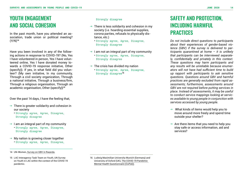## YOUTH ENGAGEMENT AND SOCIAL COHESION

In the past month, have you attended an association, trade union or political meeting? (Y/N)**<sup>14</sup>**

Have you been involved in any of the following actions in response to COVID-19? (No, Yes I have volunteered in person, Yes I have volunteered online, Yes I have donated money towards a COVID-19 response initiative, Other (specify)). If yes, in what field did you volunteer? (My own initiative, In my community, Through a civil society organization, Through a national initiative, Through a business/firm, Through a religious organisation, Through an academic organisation, Other (specify))**<sup>15</sup>**

Over the past 14 days, I have the feeling that,

 $\rightarrow$  There is greater solidarity and cohesion in our society

• Strongly agree, Agree, Disagree, Strongly disagree

- $\rightarrow$  I am an integral part of my community • Strongly agree, Agree, Disagree, Strongly disagree
- $\rightarrow$  My nation is growing closer together • Strongly agree, Agree, Disagree,
- $\rightarrow$  There is less solidarity and cohesion in my society (i.e. hoarding essential supplies, corona parties, refusals to physically distance, etc.)
	- Strongly agree, Agree, Disagree, Strongly disagree
- $\rightarrow$  1 am not an integral part of my community • Strongly agree, Agree, Disagree, Strongly disagree
- $\rightarrow$  The crisis has divided my nation

• Strongly agree, Agree, Disagree, Strongly disagree**<sup>16</sup>**

## SAFETY AND PROTECTION, INCLUDING HARMFUL **PRACTICES**

*Do not include direct questions to participants about their experiences of gender-based violence (GBV) if the survey is delivered to participants quarantined at home – it is unlikely that participants can be interviewed separately, confidentially and privately in this context. These questions may harm participants and any results will be unreliable because enumerators will not have had sufficient time to build up rapport with participants to ask sensitive questions. Questions around GBV and harmful practices are generally excluded from rapid assessments; furthermore, assessments around GBV are not required before putting services in place. Instead of assessments, it may be useful to conduct service mappings looking at services available to young people in conjunction with services accessed by young people.*

- $\rightarrow$  What kinds of items would help you to move around more freely and spend time outside your shelter?
- $\rightarrow$  Are there items that you need to help you stay safe or access information, aid and services?

<sup>14</sup> UN-Women, [Survey on GBV in Rwanda](https://www.refworld.org/pdfid/4bcc18ad2.pdf).

<sup>15</sup> LAC Interagency Task Team on Youth, UN Survey on Youth in LAC within the context of the COVID-19 pandemic.

Strongly disagree

<sup>16</sup> Ludwig Maximilian University Munich (Germany) and University of Oxford (UK), [The COVID-19 Pandemic](https://osf.io/3evn9/)  [Mental Health Questionnaire \(CoPaQ\).](https://osf.io/3evn9/)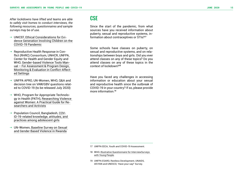*After lockdowns have lifted and teams are able to safely visit homes to conduct interviews, the following resources, questionnaires and sample surveys may be of use.* 

- → UNICEF, <u>[Ethical Considerations for Evi](https://www.unicef-irc.org/publications/pdf/DP%202020-01%20CL.pdf)-</u> [dence Generation Involving Children on the](https://www.unicef-irc.org/publications/pdf/DP%202020-01%20CL.pdf)  [COVID-19 Pandemic](https://www.unicef-irc.org/publications/pdf/DP%202020-01%20CL.pdf)
- $\rightarrow$  Reproductive Health Response in Conflict (RHRC) Consortium, UNHCR, UNFPA, Center for Health and Gender Equity and WHO, [Gender-based Violence Tools Man](https://reliefweb.int/sites/reliefweb.int/files/resources/FC881A31BD55D2B3C1256F4F00461838-Gender_based_violence_rhrc_Feb_2004.pdf) [ual – For Assessment & Program Design,](https://reliefweb.int/sites/reliefweb.int/files/resources/FC881A31BD55D2B3C1256F4F00461838-Gender_based_violence_rhrc_Feb_2004.pdf)  [Monitoring & Evaluation in Conflict-Affect](https://reliefweb.int/sites/reliefweb.int/files/resources/FC881A31BD55D2B3C1256F4F00461838-Gender_based_violence_rhrc_Feb_2004.pdf) [ed Settings](https://reliefweb.int/sites/reliefweb.int/files/resources/FC881A31BD55D2B3C1256F4F00461838-Gender_based_violence_rhrc_Feb_2004.pdf)
- → UNFPA APRO, UN-Women, WHO, Q&A and decision tree on VAW/GBV questions relat ed to COVID-19 (to be released July 2020)
- → WHO, Program for Appropriate Technolo gy in Health (PATH), [Researching Violence](https://www.who.int/reproductivehealth/publications/violence/9241546476/en/)  [against Women: A Practical Guide for Re](https://www.who.int/reproductivehealth/publications/violence/9241546476/en/) [searchers and Activists](https://www.who.int/reproductivehealth/publications/violence/9241546476/en/)
- → Population Council, Bangladesh, [COV](https://dataverse.harvard.edu/dataset.xhtml?persistentId=doi:10.7910/DVN/UBZXWD)-[ID-19-related knowledge, attitudes, and](https://dataverse.harvard.edu/dataset.xhtml?persistentId=doi:10.7910/DVN/UBZXWD)  [practices among adolescent girls](https://dataverse.harvard.edu/dataset.xhtml?persistentId=doi:10.7910/DVN/UBZXWD)
- $\rightarrow$  UN-Women, Baseline Survey on Sexual [and Gender Based Violence in Rwanda](https://www.refworld.org/pdfid/4bcc18ad2.pdf)

### **CSE**

Since the start of the pandemic, from what sources have you received information about puberty, sexual and reproductive systems, in formation about contraceptives or STIs?**<sup>17</sup>**

Some schools have classes on puberty, on sexual and reproductive systems, and on rela tionships between boys and girls. Did you ever attend classes on any of these topics? Do you attend classes on any of these topics in the context of lockdown?**<sup>18</sup>**

Have you faced any challenges in accessing information or education about your sexual and reproductive health since the outbreak of COVID-19 in your country? If so, please provide more information<sup>19</sup>

19 UNFPA ESARO, Restless Development, UNAIDS, AfriYAN and UNESCO, 'Have your say!' Survey.

<sup>17</sup> UNFPA EECA, Youth and COVID-19 Assessment.

<sup>18</sup> WHO, [Illustrative Questionnaire for InterviewSurveys](https://www.who.int/reproductivehealth/topics/adolescence/questionnaire.pdf)  [with Young People](https://www.who.int/reproductivehealth/topics/adolescence/questionnaire.pdf) .